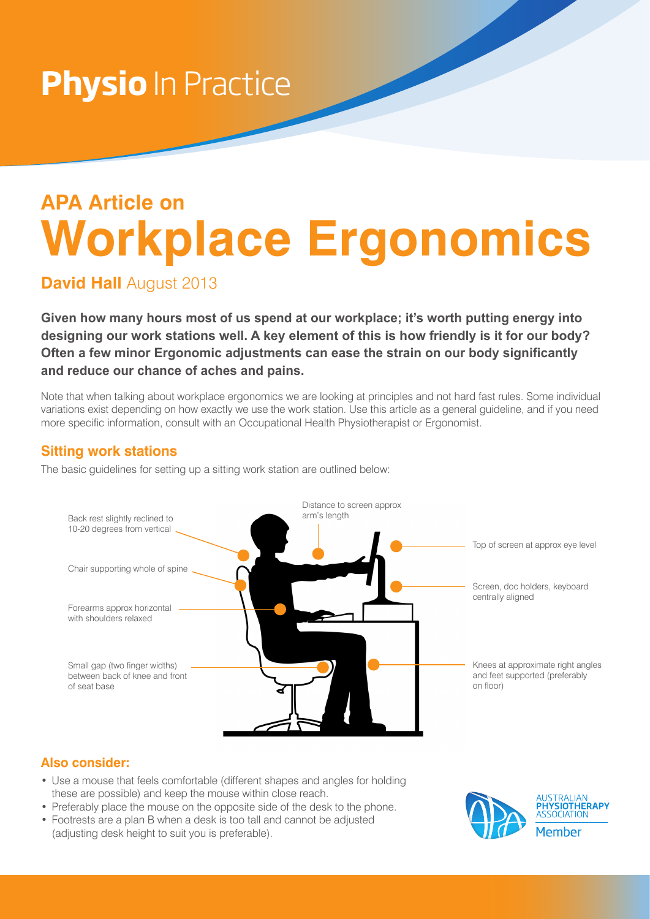## **Physio** In Practice

## **APA Article on Workplace Ergonomics**

**David Hall** August 2013

**Given how many hours most of us spend at our workplace; it's worth putting energy into designing our work stations well. A key element of this is how friendly is it for our body? Often a few minor Ergonomic adjustments can ease the strain on our body significantly and reduce our chance of aches and pains.**

Note that when talking about workplace ergonomics we are looking at principles and not hard fast rules. Some individual variations exist depending on how exactly we use the work station. Use this article as a general guideline, and if you need more specific information, consult with an Occupational Health Physiotherapist or Ergonomist.

## **Sitting work stations**

The basic guidelines for setting up a sitting work station are outlined below:



## **Also consider:**

- Use a mouse that feels comfortable (different shapes and angles for holding these are possible) and keep the mouse within close reach.
- Preferably place the mouse on the opposite side of the desk to the phone.
- Footrests are a plan B when a desk is too tall and cannot be adjusted (adjusting desk height to suit you is preferable).